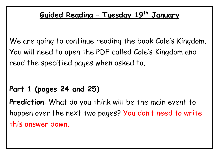## **Guided Reading – Tuesday 19 th January**

We are going to continue reading the book Cole's Kingdom. You will need to open the PDF called Cole's Kingdom and read the specified pages when asked to.

## **Part 1 (pages 24 and 25)**

**Prediction**: What do you think will be the main event to happen over the next two pages? You don't need to write this answer down.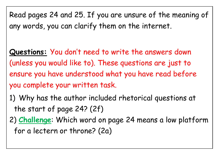Read pages 24 and 25. If you are unsure of the meaning of any words, you can clarify them on the internet.

**Questions:** You don't need to write the answers down (unless you would like to). These questions are just to ensure you have understood what you have read before you complete your written task.

1) Why has the author included rhetorical questions at the start of page 24? (2f)

2) **Challenge**: Which word on page 24 means a low platform for a lectern or throne? (2a)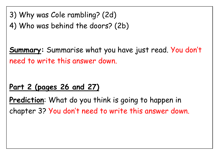3) Why was Cole rambling? (2d)

4) Who was behind the doors? (2b)

**Summary:** Summarise what you have just read. You don't need to write this answer down.

## **Part 2 (pages 26 and 27)**

**Prediction**: What do you think is going to happen in chapter 3? You don't need to write this answer down.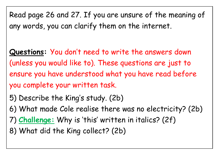Read page 26 and 27. If you are unsure of the meaning of any words, you can clarify them on the internet.

**Questions:** You don't need to write the answers down (unless you would like to). These questions are just to ensure you have understood what you have read before you complete your written task.

- 5) Describe the King's study. (2b)
- 6) What made Cole realise there was no electricity? (2b)
- 7) **Challenge:** Why is 'this' written in italics? (2f)
- 8) What did the King collect? (2b)